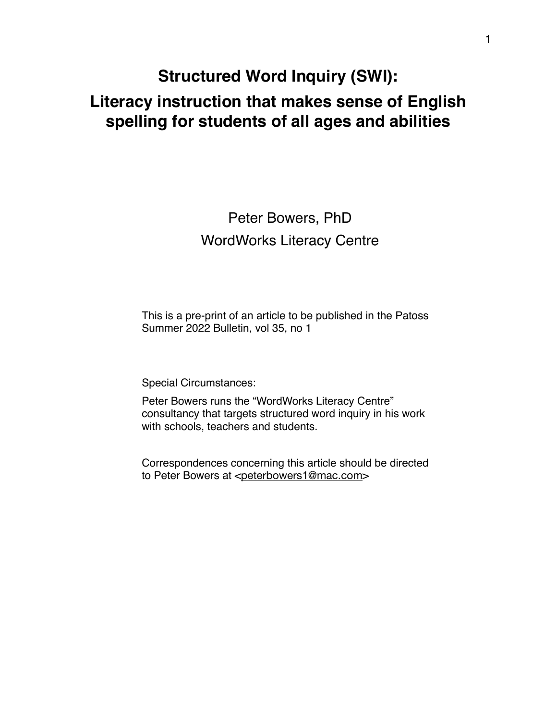# **Structured Word Inquiry (SWI): Literacy instruction that makes sense of English spelling for students of all ages and abilities**

# Peter Bowers, PhD WordWorks Literacy Centre

This is a pre-print of an article to be published in the Patoss Summer 2022 Bulletin, vol 35, no 1

Special Circumstances:

Peter Bowers runs the "WordWorks Literacy Centre" consultancy that targets structured word inquiry in his work with schools, teachers and students.

Correspondences concerning this article should be directed to Peter Bowers at <[peterbowers1@mac.com](mailto:peterbowers1@mac.com)>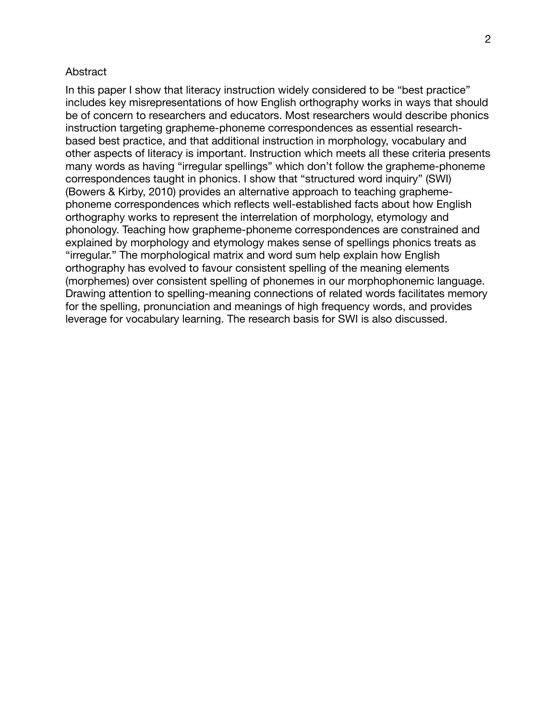#### Abstract

In this paper I show that literacy instruction widely considered to be "best practice" includes key misrepresentations of how English orthography works in ways that should be of concern to researchers and educators. Most researchers would describe phonics instruction targeting grapheme-phoneme correspondences as essential researchbased best practice, and that additional instruction in morphology, vocabulary and other aspects of literacy is important. Instruction which meets all these criteria presents many words as having "irregular spellings" which don't follow the grapheme-phoneme correspondences taught in phonics. I show that "structured word inquiry" (SWI) (Bowers & Kirby, 2010) provides an alternative approach to teaching graphemephoneme correspondences which reflects well-established facts about how English orthography works to represent the interrelation of morphology, etymology and phonology. Teaching how grapheme-phoneme correspondences are constrained and explained by morphology and etymology makes sense of spellings phonics treats as "irregular." The morphological matrix and word sum help explain how English orthography has evolved to favour consistent spelling of the meaning elements (morphemes) over consistent spelling of phonemes in our morphophonemic language. Drawing attention to spelling-meaning connections of related words facilitates memory for the spelling, pronunciation and meanings of high frequency words, and provides leverage for vocabulary learning. The research basis for SWI is also discussed.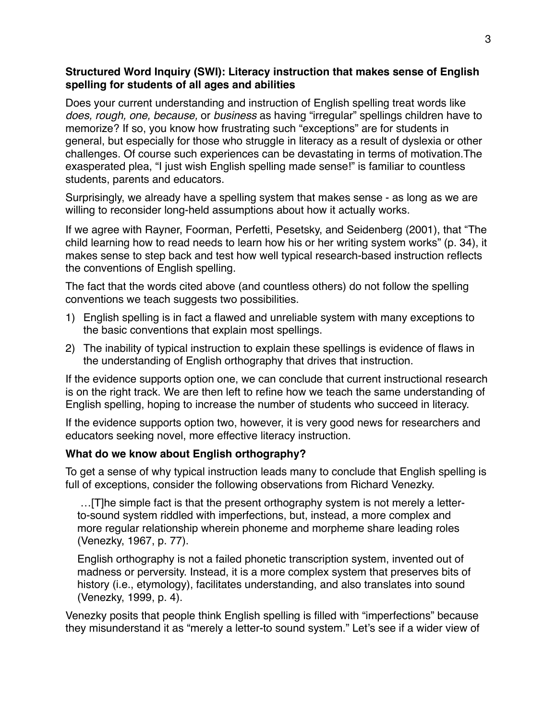### **Structured Word Inquiry (SWI): Literacy instruction that makes sense of English spelling for students of all ages and abilities**

Does your current understanding and instruction of English spelling treat words like *does, rough, one, because,* or *business* as having "irregular" spellings children have to memorize? If so, you know how frustrating such "exceptions" are for students in general, but especially for those who struggle in literacy as a result of dyslexia or other challenges. Of course such experiences can be devastating in terms of motivation.The exasperated plea, "I just wish English spelling made sense!" is familiar to countless students, parents and educators.

Surprisingly, we already have a spelling system that makes sense - as long as we are willing to reconsider long-held assumptions about how it actually works.

If we agree with Rayner, Foorman, Perfetti, Pesetsky, and Seidenberg (2001), that "The child learning how to read needs to learn how his or her writing system works" (p. 34), it makes sense to step back and test how well typical research-based instruction reflects the conventions of English spelling.

The fact that the words cited above (and countless others) do not follow the spelling conventions we teach suggests two possibilities.

- 1) English spelling is in fact a flawed and unreliable system with many exceptions to the basic conventions that explain most spellings.
- 2) The inability of typical instruction to explain these spellings is evidence of flaws in the understanding of English orthography that drives that instruction.

If the evidence supports option one, we can conclude that current instructional research is on the right track. We are then left to refine how we teach the same understanding of English spelling, hoping to increase the number of students who succeed in literacy.

If the evidence supports option two, however, it is very good news for researchers and educators seeking novel, more effective literacy instruction.

# **What do we know about English orthography?**

To get a sense of why typical instruction leads many to conclude that English spelling is full of exceptions, consider the following observations from Richard Venezky.

…[T]he simple fact is that the present orthography system is not merely a letterto-sound system riddled with imperfections, but, instead, a more complex and more regular relationship wherein phoneme and morpheme share leading roles (Venezky, 1967, p. 77).

English orthography is not a failed phonetic transcription system, invented out of madness or perversity. Instead, it is a more complex system that preserves bits of history (i.e., etymology), facilitates understanding, and also translates into sound (Venezky, 1999, p. 4).

Venezky posits that people think English spelling is filled with "imperfections" because they misunderstand it as "merely a letter-to sound system." Let's see if a wider view of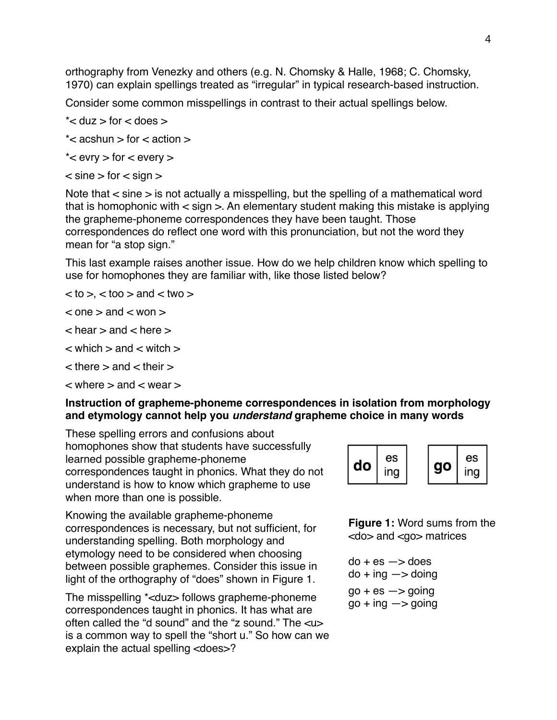orthography from Venezky and others (e.g. N. Chomsky & Halle, 1968; C. Chomsky, 1970) can explain spellings treated as "irregular" in typical research-based instruction.

Consider some common misspellings in contrast to their actual spellings below.

- $*$  < duz  $>$  for  $<$  does  $>$
- $*$  < acshun > for < action >
- \* $\lt$  evry  $>$  for  $\lt$  every  $>$
- $\epsilon$  sine  $>$  for  $\epsilon$  sign  $>$

Note that < sine > is not actually a misspelling, but the spelling of a mathematical word that is homophonic with < sign >. An elementary student making this mistake is applying the grapheme-phoneme correspondences they have been taught. Those correspondences do reflect one word with this pronunciation, but not the word they mean for "a stop sign."

This last example raises another issue. How do we help children know which spelling to use for homophones they are familiar with, like those listed below?

 $<$  to  $>$ ,  $<$  too  $>$  and  $<$  two  $>$ 

 $\le$  one  $>$  and  $\le$  won  $>$ 

 $\alpha$  hear  $>$  and  $\alpha$  here  $>$ 

- $\epsilon$  which  $>$  and  $\epsilon$  witch  $>$
- $\epsilon$  there  $>$  and  $\epsilon$  their  $>$

 $\lt$  where  $>$  and  $<$  wear  $>$ 

# **Instruction of grapheme-phoneme correspondences in isolation from morphology and etymology cannot help you** *understand* **grapheme choice in many words**

These spelling errors and confusions about homophones show that students have successfully learned possible grapheme-phoneme correspondences taught in phonics. What they do not understand is how to know which grapheme to use when more than one is possible.

Knowing the available grapheme-phoneme correspondences is necessary, but not sufficient, for understanding spelling. Both morphology and etymology need to be considered when choosing between possible graphemes. Consider this issue in light of the orthography of "does" shown in Figure 1.

The misspelling \*<duz> follows grapheme-phoneme correspondences taught in phonics. It has what are often called the "d sound" and the "z sound." The <u> is a common way to spell the "short u." So how can we explain the actual spelling <does>?



**Figure 1:** Word sums from the <do> and <go> matrices

 $do + es \rightarrow does$  $do + ing \rightarrow doing$  $go + es \rightarrow going$  $go + ing \rightarrow going$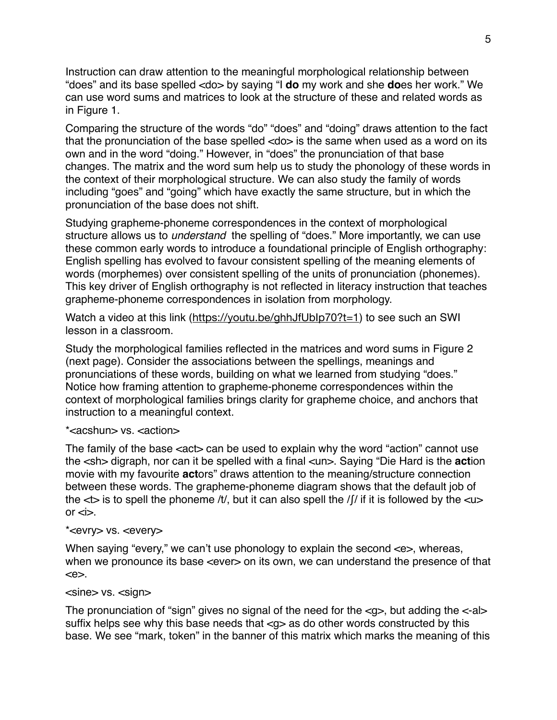Instruction can draw attention to the meaningful morphological relationship between "does" and its base spelled <do> by saying "I **do** my work and she **do**es her work." We can use word sums and matrices to look at the structure of these and related words as in Figure 1.

Comparing the structure of the words "do" "does" and "doing" draws attention to the fact that the pronunciation of the base spelled <do> is the same when used as a word on its own and in the word "doing." However, in "does" the pronunciation of that base changes. The matrix and the word sum help us to study the phonology of these words in the context of their morphological structure. We can also study the family of words including "goes" and "going" which have exactly the same structure, but in which the pronunciation of the base does not shift.

Studying grapheme-phoneme correspondences in the context of morphological structure allows us to *understand* the spelling of "does." More importantly, we can use these common early words to introduce a foundational principle of English orthography: English spelling has evolved to favour consistent spelling of the meaning elements of words (morphemes) over consistent spelling of the units of pronunciation (phonemes). This key driver of English orthography is not reflected in literacy instruction that teaches grapheme-phoneme correspondences in isolation from morphology.

Watch a video at this link (<https://youtu.be/ghhJfUbIp70?t=1>) to see such an SWI lesson in a classroom.

Study the morphological families reflected in the matrices and word sums in Figure 2 (next page). Consider the associations between the spellings, meanings and pronunciations of these words, building on what we learned from studying "does." Notice how framing attention to grapheme-phoneme correspondences within the context of morphological families brings clarity for grapheme choice, and anchors that instruction to a meaningful context.

#### \*<acshun> vs. <action>

The family of the base <act> can be used to explain why the word "action" cannot use the <sh> digraph, nor can it be spelled with a final <un>. Saying "Die Hard is the **act**ion movie with my favourite **act**ors" draws attention to the meaning/structure connection between these words. The grapheme-phoneme diagram shows that the default job of the  $\leq$  is to spell the phoneme /t/, but it can also spell the /f/ if it is followed by the  $\leq$ u $>$ or  $\lt$ i $>$ .

#### \*<evry> vs. <every>

When saying "every," we can't use phonology to explain the second  $\ll$  >, whereas, when we pronounce its base <ever> on its own, we can understand the presence of that <e>.

#### <sine> vs. <sign>

The pronunciation of "sign" gives no signal of the need for the  $\langle q \rangle$ , but adding the  $\langle -a \rangle$ suffix helps see why this base needs that <q> as do other words constructed by this base. We see "mark, token" in the banner of this matrix which marks the meaning of this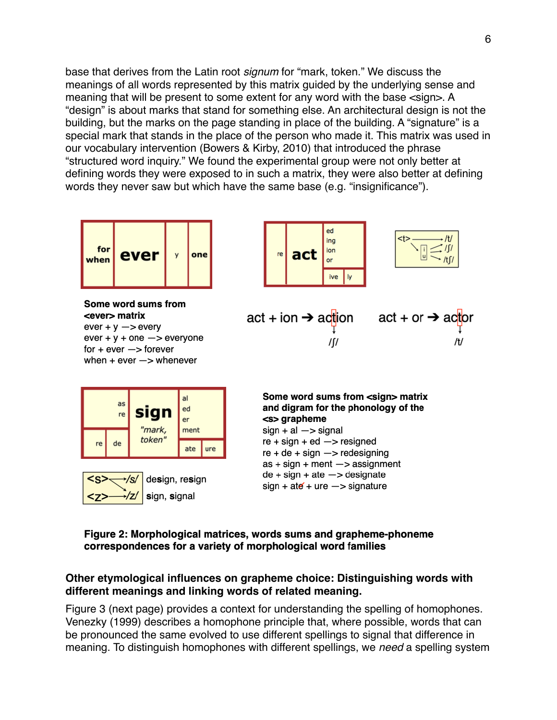base that derives from the Latin root *signum* for "mark, token." We discuss the meanings of all words represented by this matrix guided by the underlying sense and meaning that will be present to some extent for any word with the base <sign>. A "design" is about marks that stand for something else. An architectural design is not the building, but the marks on the page standing in place of the building. A "signature" is a special mark that stands in the place of the person who made it. This matrix was used in our vocabulary intervention (Bowers & Kirby, 2010) that introduced the phrase "structured word inquiry." We found the experimental group were not only better at defining words they were exposed to in such a matrix, they were also better at defining words they never saw but which have the same base (e.g. "insignificance").



#### Figure 2: Morphological matrices, words sums and grapheme-phoneme correspondences for a variety of morphological word families

#### **Other etymological influences on grapheme choice: Distinguishing words with different meanings and linking words of related meaning.**

Figure 3 (next page) provides a context for understanding the spelling of homophones. Venezky (1999) describes a homophone principle that, where possible, words that can be pronounced the same evolved to use different spellings to signal that difference in meaning. To distinguish homophones with different spellings, we *need* a spelling system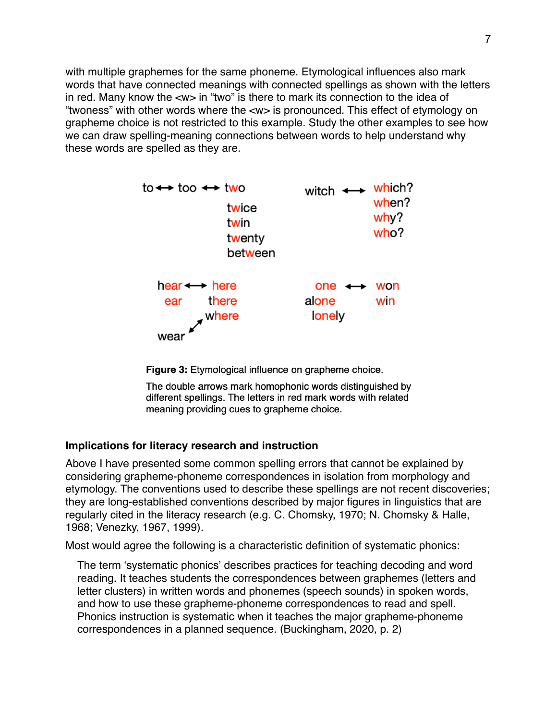with multiple graphemes for the same phoneme. Etymological influences also mark words that have connected meanings with connected spellings as shown with the letters in red. Many know the <w> in "two" is there to mark its connection to the idea of "twoness" with other words where the <w> is pronounced. This effect of etymology on grapheme choice is not restricted to this example. Study the other examples to see how we can draw spelling-meaning connections between words to help understand why these words are spelled as they are.



Figure 3: Etymological influence on grapheme choice.

The double arrows mark homophonic words distinguished by different spellings. The letters in red mark words with related meaning providing cues to grapheme choice.

#### **Implications for literacy research and instruction**

Above I have presented some common spelling errors that cannot be explained by considering grapheme-phoneme correspondences in isolation from morphology and etymology. The conventions used to describe these spellings are not recent discoveries; they are long-established conventions described by major figures in linguistics that are regularly cited in the literacy research (e.g. C. Chomsky, 1970; N. Chomsky & Halle, 1968; Venezky, 1967, 1999).

Most would agree the following is a characteristic definition of systematic phonics:

The term 'systematic phonics' describes practices for teaching decoding and word reading. It teaches students the correspondences between graphemes (letters and letter clusters) in written words and phonemes (speech sounds) in spoken words, and how to use these grapheme-phoneme correspondences to read and spell. Phonics instruction is systematic when it teaches the major grapheme-phoneme correspondences in a planned sequence. (Buckingham, 2020, p. 2)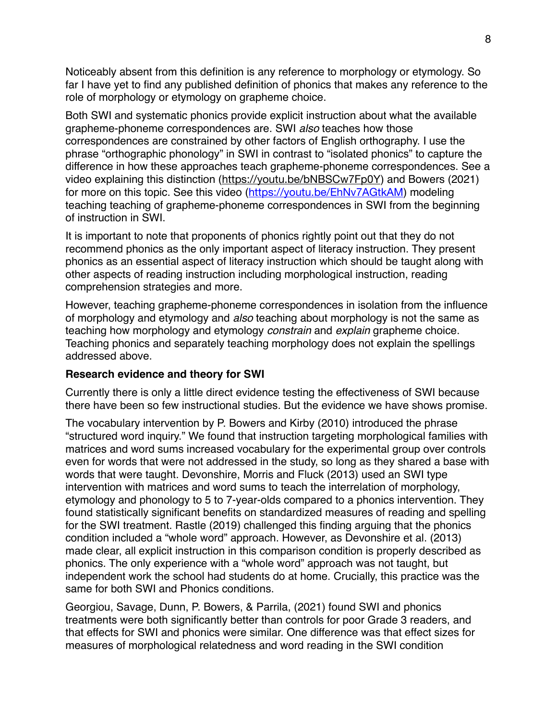Noticeably absent from this definition is any reference to morphology or etymology. So far I have yet to find any published definition of phonics that makes any reference to the role of morphology or etymology on grapheme choice.

Both SWI and systematic phonics provide explicit instruction about what the available grapheme-phoneme correspondences are. SWI *also* teaches how those correspondences are constrained by other factors of English orthography. I use the phrase "orthographic phonology" in SWI in contrast to "isolated phonics" to capture the difference in how these approaches teach grapheme-phoneme correspondences. See a video explaining this distinction (<https://youtu.be/bNBSCw7Fp0Y>) and Bowers (2021) for more on this topic. See this video (<https://youtu.be/EhNv7AGtkAM>) modeling teaching teaching of grapheme-phoneme correspondences in SWI from the beginning of instruction in SWI.

It is important to note that proponents of phonics rightly point out that they do not recommend phonics as the only important aspect of literacy instruction. They present phonics as an essential aspect of literacy instruction which should be taught along with other aspects of reading instruction including morphological instruction, reading comprehension strategies and more.

However, teaching grapheme-phoneme correspondences in isolation from the influence of morphology and etymology and *also* teaching about morphology is not the same as teaching how morphology and etymology *constrain* and *explain* grapheme choice. Teaching phonics and separately teaching morphology does not explain the spellings addressed above.

#### **Research evidence and theory for SWI**

Currently there is only a little direct evidence testing the effectiveness of SWI because there have been so few instructional studies. But the evidence we have shows promise.

The vocabulary intervention by P. Bowers and Kirby (2010) introduced the phrase "structured word inquiry." We found that instruction targeting morphological families with matrices and word sums increased vocabulary for the experimental group over controls even for words that were not addressed in the study, so long as they shared a base with words that were taught. Devonshire, Morris and Fluck (2013) used an SWI type intervention with matrices and word sums to teach the interrelation of morphology, etymology and phonology to 5 to 7-year-olds compared to a phonics intervention. They found statistically significant benefits on standardized measures of reading and spelling for the SWI treatment. Rastle (2019) challenged this finding arguing that the phonics condition included a "whole word" approach. However, as Devonshire et al. (2013) made clear, all explicit instruction in this comparison condition is properly described as phonics. The only experience with a "whole word" approach was not taught, but independent work the school had students do at home. Crucially, this practice was the same for both SWI and Phonics conditions.

Georgiou, Savage, Dunn, P. Bowers, & Parrila, (2021) found SWI and phonics treatments were both significantly better than controls for poor Grade 3 readers, and that effects for SWI and phonics were similar. One difference was that effect sizes for measures of morphological relatedness and word reading in the SWI condition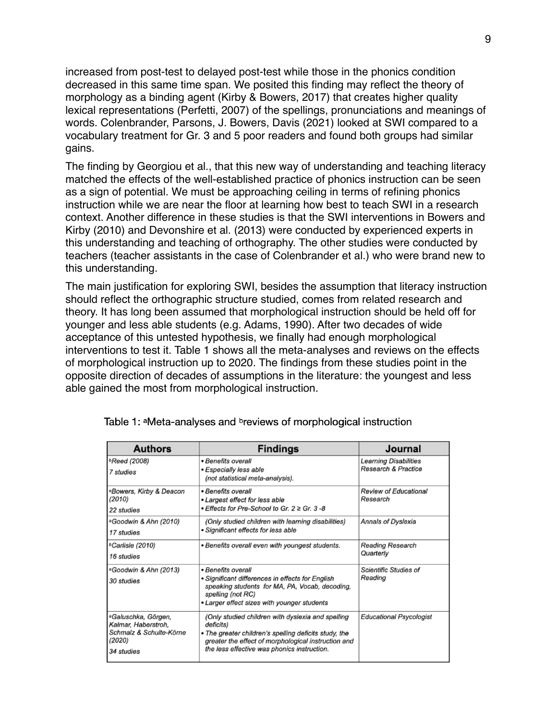increased from post-test to delayed post-test while those in the phonics condition decreased in this same time span. We posited this finding may reflect the theory of morphology as a binding agent (Kirby & Bowers, 2017) that creates higher quality lexical representations (Perfetti, 2007) of the spellings, pronunciations and meanings of words. Colenbrander, Parsons, J. Bowers, Davis (2021) looked at SWI compared to a vocabulary treatment for Gr. 3 and 5 poor readers and found both groups had similar gains.

The finding by Georgiou et al., that this new way of understanding and teaching literacy matched the effects of the well-established practice of phonics instruction can be seen as a sign of potential. We must be approaching ceiling in terms of refining phonics instruction while we are near the floor at learning how best to teach SWI in a research context. Another difference in these studies is that the SWI interventions in Bowers and Kirby (2010) and Devonshire et al. (2013) were conducted by experienced experts in this understanding and teaching of orthography. The other studies were conducted by teachers (teacher assistants in the case of Colenbrander et al.) who were brand new to this understanding.

The main justification for exploring SWI, besides the assumption that literacy instruction should reflect the orthographic structure studied, comes from related research and theory. It has long been assumed that morphological instruction should be held off for younger and less able students (e.g. Adams, 1990). After two decades of wide acceptance of this untested hypothesis, we finally had enough morphological interventions to test it. Table 1 shows all the meta-analyses and reviews on the effects of morphological instruction up to 2020. The findings from these studies point in the opposite direction of decades of assumptions in the literature: the youngest and less able gained the most from morphological instruction.

| <b>Authors</b>                                                                                            | <b>Findings</b>                                                                                                                                                                                                               | <b>Journal</b>                                                 |  |
|-----------------------------------------------------------------------------------------------------------|-------------------------------------------------------------------------------------------------------------------------------------------------------------------------------------------------------------------------------|----------------------------------------------------------------|--|
| <sup>b</sup> Reed (2008)<br>7 studies                                                                     | • Benefits overall<br>• Especially less able<br>(not statistical meta-analysis).                                                                                                                                              | <b>Learning Disabilities</b><br><b>Research &amp; Practice</b> |  |
| aBowers, Kirby & Deacon<br>(2010)<br>22 studies                                                           | • Benefits overall<br>• Largest effect for less able<br>• Effects for Pre-School to Gr. $2 \geq$ Gr. 3 -8                                                                                                                     | <b>Review of Educational</b><br>Research                       |  |
| <sup>a</sup> Goodwin & Ahn (2010)<br>17 studies                                                           | (Only studied children with learning disabilities)<br>• Significant effects for less able                                                                                                                                     | <b>Annals of Dyslexia</b>                                      |  |
| bCarlisle (2010)<br>16 studies                                                                            | • Benefits overall even with youngest students.                                                                                                                                                                               | <b>Reading Research</b><br>Quarterly                           |  |
| aGoodwin & Ahn (2013)<br>30 studies                                                                       | • Benefits overall<br>· Significant differences in effects for English<br>speaking students for MA, PA, Vocab, decoding,<br>spelling (not RC)<br>• Larger effect sizes with younger students                                  | Scientific Studies of<br>Reading                               |  |
| <sup>a</sup> Galuschka, Görgen,<br>Kalmar, Haberstroh,<br>Schmalz & Schulte-Körne<br>(2020)<br>34 studies | (Only studied children with dyslexia and spelling<br>deficits)<br>• The greater children's spelling deficits study, the<br>greater the effect of morphological instruction and<br>the less effective was phonics instruction. | <b>Educational Psycologist</b>                                 |  |

Table 1: <sup>a</sup>Meta-analyses and <sup>b</sup>reviews of morphological instruction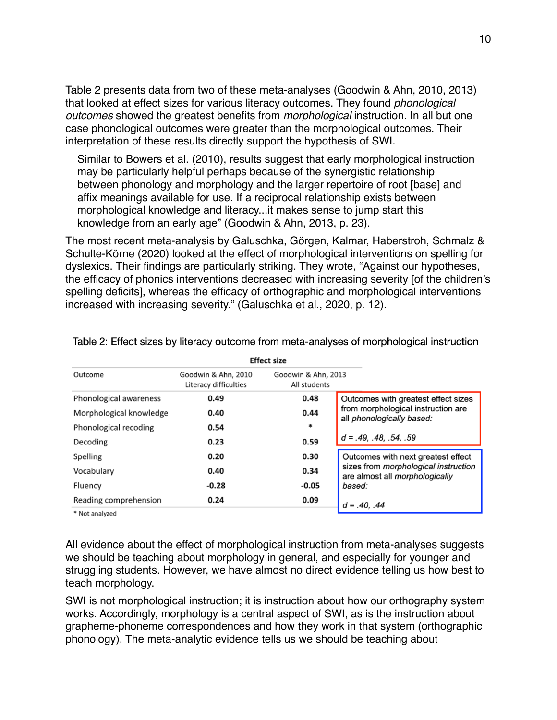Table 2 presents data from two of these meta-analyses (Goodwin & Ahn, 2010, 2013) that looked at effect sizes for various literacy outcomes. They found *phonological outcomes* showed the greatest benefits from *morphological* instruction. In all but one case phonological outcomes were greater than the morphological outcomes. Their interpretation of these results directly support the hypothesis of SWI.

Similar to Bowers et al. (2010), results suggest that early morphological instruction may be particularly helpful perhaps because of the synergistic relationship between phonology and morphology and the larger repertoire of root [base] and affix meanings available for use. If a reciprocal relationship exists between morphological knowledge and literacy...it makes sense to jump start this knowledge from an early age" (Goodwin & Ahn, 2013, p. 23).

The most recent meta-analysis by Galuschka, Görgen, Kalmar, Haberstroh, Schmalz & Schulte-Körne (2020) looked at the effect of morphological interventions on spelling for dyslexics. Their findings are particularly striking. They wrote, "Against our hypotheses, the efficacy of phonics interventions decreased with increasing severity [of the children's spelling deficits], whereas the efficacy of orthographic and morphological interventions increased with increasing severity." (Galuschka et al., 2020, p. 12).

| <b>Effect size</b>      |                                              |                                     |                                                                               |  |
|-------------------------|----------------------------------------------|-------------------------------------|-------------------------------------------------------------------------------|--|
| Outcome                 | Goodwin & Ahn, 2010<br>Literacy difficulties | Goodwin & Ahn, 2013<br>All students |                                                                               |  |
| Phonological awareness  | 0.49                                         | 0.48                                | Outcomes with greatest effect sizes                                           |  |
| Morphological knowledge | 0.40                                         | 0.44                                | from morphological instruction are<br>all phonologically based:               |  |
| Phonological recoding   | 0.54                                         | *                                   |                                                                               |  |
| Decoding                | 0.23                                         | 0.59                                | $d = .49, .48, .54, .59$                                                      |  |
| Spelling                | 0.20                                         | 0.30                                | Outcomes with next greatest effect                                            |  |
| Vocabulary              | 0.40                                         | 0.34                                | sizes from morphological instruction<br>are almost all <i>morphologically</i> |  |
| Fluency                 | $-0.28$                                      | $-0.05$                             | based:                                                                        |  |
| Reading comprehension   | 0.24                                         | 0.09                                | $d = .40, .44$                                                                |  |
| $*$ Not analyzed        |                                              |                                     |                                                                               |  |

Table 2: Effect sizes by literacy outcome from meta-analyses of morphological instruction

Not analyzed

All evidence about the effect of morphological instruction from meta-analyses suggests we should be teaching about morphology in general, and especially for younger and struggling students. However, we have almost no direct evidence telling us how best to teach morphology.

SWI is not morphological instruction; it is instruction about how our orthography system works. Accordingly, morphology is a central aspect of SWI, as is the instruction about grapheme-phoneme correspondences and how they work in that system (orthographic phonology). The meta-analytic evidence tells us we should be teaching about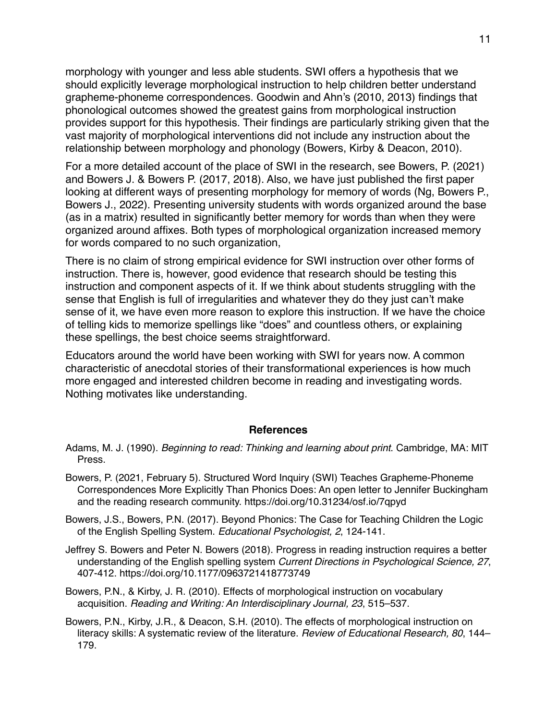morphology with younger and less able students. SWI offers a hypothesis that we should explicitly leverage morphological instruction to help children better understand grapheme-phoneme correspondences. Goodwin and Ahn's (2010, 2013) findings that phonological outcomes showed the greatest gains from morphological instruction provides support for this hypothesis. Their findings are particularly striking given that the vast majority of morphological interventions did not include any instruction about the relationship between morphology and phonology (Bowers, Kirby & Deacon, 2010).

For a more detailed account of the place of SWI in the research, see Bowers, P. (2021) and Bowers J. & Bowers P. (2017, 2018). Also, we have just published the first paper looking at different ways of presenting morphology for memory of words (Ng, Bowers P., Bowers J., 2022). Presenting university students with words organized around the base (as in a matrix) resulted in significantly better memory for words than when they were organized around affixes. Both types of morphological organization increased memory for words compared to no such organization,

There is no claim of strong empirical evidence for SWI instruction over other forms of instruction. There is, however, good evidence that research should be testing this instruction and component aspects of it. If we think about students struggling with the sense that English is full of irregularities and whatever they do they just can't make sense of it, we have even more reason to explore this instruction. If we have the choice of telling kids to memorize spellings like "does" and countless others, or explaining these spellings, the best choice seems straightforward.

Educators around the world have been working with SWI for years now. A common characteristic of anecdotal stories of their transformational experiences is how much more engaged and interested children become in reading and investigating words. Nothing motivates like understanding.

#### **References**

- Adams, M. J. (1990). *Beginning to read: Thinking and learning about print*. Cambridge, MA: MIT Press.
- Bowers, P. (2021, February 5). Structured Word Inquiry (SWI) Teaches Grapheme-Phoneme Correspondences More Explicitly Than Phonics Does: An open letter to Jennifer Buckingham and the reading research community. https://doi.org/10.31234/osf.io/7qpyd
- Bowers, J.S., Bowers, P.N. (2017). Beyond Phonics: The Case for Teaching Children the Logic of the English Spelling System. *Educational Psychologist, 2*, 124-141.
- Jeffrey S. Bowers and Peter N. Bowers (2018). Progress in reading instruction requires a better understanding of the English spelling system *Current Directions in Psychological Science, 27*, 407-412. https://doi.org/10.1177/0963721418773749
- Bowers, P.N., & Kirby, J. R. (2010). Effects of morphological instruction on vocabulary acquisition. *Reading and Writing: An Interdisciplinary Journal, 23*, 515–537.
- Bowers, P.N., Kirby, J.R., & Deacon, S.H. (2010). The effects of morphological instruction on literacy skills: A systematic review of the literature. *Review of Educational Research, 80*, 144– 179.